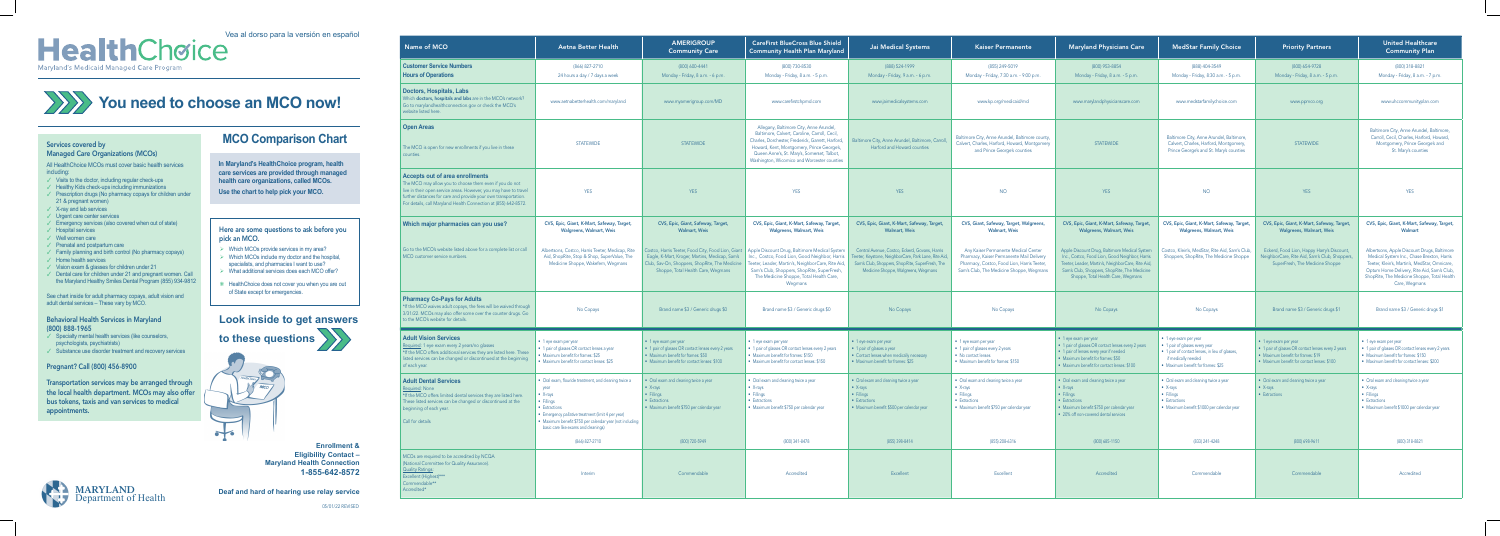## Vea al dorso para la versión en español Maryland's Medicaid Managed Care Program

### Services covered by

## Managed Care Organizations (MCOs)

All HealthChoice MCOs must cover basic health services including:

- $\checkmark$  Visits to the doctor, including regular check-ups
- ✓ Healthy Kids check-ups including immunizations
- ✓ Prescription drugs (No pharmacy copays for children under 21 & pregnant women)
- ✓ X-ray and lab services
- ✓ Urgent care center services
- ✓ Emergency services (also covered when out of state)
- ✓ Hospital services
- ✓ Well women care
- ✓ Prenatal and postpartum care
- ✓ Family planning and birth control (No pharmacy copays)
- ✓ Home health services
- ✓ Vision exam & glasses for children under 21
- ✓ Dental care for children under 21 and pregnant women. Call the Maryland Healthy Smiles Dental Program (855) 934-9812

- $\checkmark$  Specialty mental health services (like counselors, psychologists, psychiatrists)
- ✓ Substance use disorder treatment and recovery services

See chart inside for adult pharmacy copays, adult vision and adult dental services – These vary by MCO.

### Behavioral Health Services in Maryland (800) 888-1965

## Pregnant? Call (800) 456-8900

Transportation services may be arranged through the local health department. MCOs may also offer bus tokens, taxis and van services to medical appointments.

| Name of MCO                                                                                                                                                                                                                                                                                                  | <b>Aetna Better Health</b>                                                                                                                                                                                                                                           | <b>AMERIGROUP</b><br><b>Community Care</b>                                                                                                                                | <b>CareFirst BlueCross Blue Shield</b><br><b>Community Health Plan Maryland</b>                                                                                                                                                                                                                                | <b>Jai Medical Systems</b>                                                                                                                                                                       | <b>Kaiser Permanente</b>                                                                                                                                                     | <b>Maryland Physicians Care</b>                                                                                                                                                                                                            | <b>MedStar Family Choice</b>                                                                                                                                            | <b>Priority Partners</b>                                                                                                                                                  | <b>United Healthcare</b><br><b>Community Plan</b>                                                                                                                                                                                                        |
|--------------------------------------------------------------------------------------------------------------------------------------------------------------------------------------------------------------------------------------------------------------------------------------------------------------|----------------------------------------------------------------------------------------------------------------------------------------------------------------------------------------------------------------------------------------------------------------------|---------------------------------------------------------------------------------------------------------------------------------------------------------------------------|----------------------------------------------------------------------------------------------------------------------------------------------------------------------------------------------------------------------------------------------------------------------------------------------------------------|--------------------------------------------------------------------------------------------------------------------------------------------------------------------------------------------------|------------------------------------------------------------------------------------------------------------------------------------------------------------------------------|--------------------------------------------------------------------------------------------------------------------------------------------------------------------------------------------------------------------------------------------|-------------------------------------------------------------------------------------------------------------------------------------------------------------------------|---------------------------------------------------------------------------------------------------------------------------------------------------------------------------|----------------------------------------------------------------------------------------------------------------------------------------------------------------------------------------------------------------------------------------------------------|
| <b>Customer Service Numbers</b><br><b>Hours of Operations</b>                                                                                                                                                                                                                                                | (866) 827-2710<br>24 hours a day / 7 days a week                                                                                                                                                                                                                     | (800) 600-4441<br>Monday - Friday, 8 a.m. - 6 p.m.                                                                                                                        | (800) 730-8530<br>Monday - Friday, 8 a.m. - 5 p.m.                                                                                                                                                                                                                                                             | (888) 524-1999<br>Monday - Friday, 9 a.m. - 6 p.m.                                                                                                                                               | (855) 249-5019<br>Monday - Friday, 7:30 a.m. - 9:00 p.m.                                                                                                                     | (800) 953-8854<br>Monday - Friday, 8 a.m. - 5 p.m.                                                                                                                                                                                         | (888) 404-3549<br>Monday - Friday, 8:30 a.m. - 5 p.m.                                                                                                                   | (800) 654-9728<br>Monday - Friday, 8 a.m. - 5 p.m.                                                                                                                        | (800) 318-8821<br>Monday - Friday, 8 a.m. - 7 p.m.                                                                                                                                                                                                       |
| <b>Doctors, Hospitals, Labs</b><br>Which doctors, hospitals and labs are in the MCO's network?<br>Go to marylandhealthconnection.gov or check the MCO's<br>website listed here.                                                                                                                              | www.aetnabetterhealth.com/maryland                                                                                                                                                                                                                                   | www.myamerigroup.com/MD                                                                                                                                                   | www.carefirstchpmd.com                                                                                                                                                                                                                                                                                         | www.jaimedicalsystems.com                                                                                                                                                                        | www.kp.org/medicaid/md                                                                                                                                                       | www.marylandphysicianscare.com                                                                                                                                                                                                             | www.medstarfamilychoice.com                                                                                                                                             | www.ppmco.org                                                                                                                                                             | www.uhccommunityplan.com                                                                                                                                                                                                                                 |
| <b>Open Areas</b><br>The MCO is open for new enrollments if you live in these<br>counties.                                                                                                                                                                                                                   | <b>STATEWIDE</b>                                                                                                                                                                                                                                                     | <b>STATEWIDE</b>                                                                                                                                                          | Allegany, Baltimore City, Anne Arundel,<br>Baltimore, Calvert, Caroline, Carroll, Cecil,<br>Charles, Dorchester, Frederick, Garrett, Harford,<br>Howard, Kent, Montgomery, Prince George's,<br>Queen Anne's, St. Mary's, Somerset, Talbot,<br>Washington, Wicomico and Worcester counties                      | ore City, Anne Arundel, Baltimore, Carroll,<br>Harford and Howard counties                                                                                                                       | Baltimore City, Anne Arundel, Baltimore county,<br>Calvert, Charles, Harford, Howard, Montgomery<br>and Prince George's counties                                             | <b>STATEWIDE</b>                                                                                                                                                                                                                           | Baltimore City, Anne Arundel, Baltimore,<br>Calvert, Charles, Harford, Montgomery,<br>Prince George's and St. Mary's counties                                           | <b>STATEWIDE</b>                                                                                                                                                          | Baltimore City, Anne Arundel, Baltimore,<br>Carroll, Cecil, Charles, Harford, Howard,<br>Montgomery, Prince George's and<br>St. Mary's counties                                                                                                          |
| <b>Accepts out of area enrollments</b><br>The MCO may allow you to choose them even if you do not<br>live in their open service areas. However, you may have to travel<br>further distances for care and provide your own transportation.<br>For details, call Maryland Health Connection at (855) 642-8572. | <b>YES</b>                                                                                                                                                                                                                                                           | <b>YES</b>                                                                                                                                                                | <b>YES</b>                                                                                                                                                                                                                                                                                                     | <b>YES</b>                                                                                                                                                                                       | <b>NO</b>                                                                                                                                                                    | <b>YES</b>                                                                                                                                                                                                                                 | <b>NO</b>                                                                                                                                                               | <b>YES</b>                                                                                                                                                                | <b>YES</b>                                                                                                                                                                                                                                               |
| Which major pharmacies can you use?                                                                                                                                                                                                                                                                          | CVS, Epic, Giant, K-Mart, Safeway, Target,<br><b>Walgreens, Walmart, Weis</b>                                                                                                                                                                                        | CVS, Epic, Giant, Safeway, Target,<br><b>Walmart, Weis</b>                                                                                                                | CVS, Epic, Giant, K-Mart, Safeway, Target,<br><b>Walgreens, Walmart, Weis</b>                                                                                                                                                                                                                                  | CVS, Epic, Giant, K-Mart, Safeway, Target,<br><b>Walmart, Weis</b>                                                                                                                               | CVS, Giant, Safeway, Target, Walgreens<br><b>Walmart, Weis</b>                                                                                                               | CVS, Epic, Giant, K-Mart, Safeway, Target,<br><b>Walgreens, Walmart, Weis</b>                                                                                                                                                              | CVS, Epic, Giant, K-Mart, Safeway, Target,<br><b>Walgreens, Walmart, Weis</b>                                                                                           | CVS, Epic, Giant, K-Mart, Safeway, Target,<br><b>Walgreens, Walmart, Weis</b>                                                                                             | CVS, Epic, Giant, K-Mart, Safeway, Target,<br>Walmart                                                                                                                                                                                                    |
| Go to the MCO's website listed above for a complete list or call<br>MCO customer service numbers.                                                                                                                                                                                                            | Albertsons, Costco, Harris Teeter, Medicap, Rite<br>Aid, ShopRite, Stop & Shop, SuperValue, The<br>Medicine Shoppe, Wakefern, Wegmans                                                                                                                                | Eagle, K-Mart, Kroger, Martins, Medicap, Sam's<br>Club, Sav-On, Shoppers, ShopRite, The Medicine<br>Shoppe, Total Health Care, Wegmans                                    | Costco, Harris Teeter, Food City, Food Lion, Giant   Apple Discount Drug, Baltimore Medical System<br>Inc., Costco, Food Lion, Good Neighbor, Harris<br>Teeter, Leader, Martin's, NeighborCare, Rite Aid,<br>Sam's Club, Shoppers, ShopRite, SuperFresh,<br>The Medicine Shoppe, Total Health Care,<br>Wegmans | Central Avenue, Costco, Eckerd, Govans, Harris<br>Teeter, Keystone, NeighborCare, Park Lane, Rite Aid,<br>Sam's Club, Shoppers, ShopRite, SuperFresh, The<br>Medicine Shoppe, Walgreens, Wegmans | Any Kaiser Permanente Medical Center<br>Pharmacy, Kaiser Permanente Mail Delivery<br>Pharmacy, Costco, Food Lion, Harris Teeter,<br>Sam's Club, The Medicine Shoppe, Wegmans | Apple Discount Drug, Baltimore Medical System<br>Inc., Costco, Food Lion, Good Neighbor, Harris<br>Teeter, Leader, Martin's, NeighborCare, Rite Aid,<br>Sam's Club, Shoppers, ShopRite, The Medicine<br>Shoppe, Total Health Care, Wegmans | Costco, Klein's, MedStar, Rite Aid, Sam's Club,<br>Shoppers, ShopRite, The Medicine Shoppe                                                                              | Eckerd, Food Lion, Happy Harry's Discount,<br>NeighborCare, Rite Aid, Sam's Club, Shoppers<br>SuperFresh, The Medicine Shoppe                                             | Albertsons, Apple Discount Drugs, Baltimore<br>Medical System Inc., Chase Brexton, Harris<br>Teeter, Klein's, Martin's, MedStar, Omnicare,<br>Optum Home Delivery, Rite Aid, Sam's Club,<br>ShopRite, The Medicine Shoppe, Total Health<br>Care, Wegmans |
| <b>Pharmacy Co-Pays for Adults</b><br>*If the MCO waives adult copays, the fees will be waived through<br>3/31/22. MCOs may also offer some over the counter drugs. Go<br>to the MCO's website for details.                                                                                                  | No Copays                                                                                                                                                                                                                                                            | Brand name \$3 / Generic drugs \$0                                                                                                                                        | Brand name \$3 / Generic drugs \$0                                                                                                                                                                                                                                                                             | No Copays                                                                                                                                                                                        | No Copays                                                                                                                                                                    | No Copays                                                                                                                                                                                                                                  | No Copays                                                                                                                                                               | Brand name \$3 / Generic drugs \$1                                                                                                                                        | Brand name \$3 / Generic drugs \$1                                                                                                                                                                                                                       |
| <b>Adult Vision Services</b><br>Required: 1 eye exam every 2 years/no glasses<br>*If the MCO offers additional services they are listed here. These<br>listed services can be changed or discontinued at the beginning<br>of each year.                                                                      | • 1 eye exam per year<br>• 1 pair of glasses OR contact lenses a year<br>• Maximum benefit for frames: \$25<br>• Maximum benefit for contact lenses: \$25                                                                                                            | $\bullet$ 1 eye exam per year<br>• 1 pair of glasses OR contact lenses every 2 years<br>• Maximum benefit for frames: \$50<br>• Maximum benefit for contact lenses: \$100 | • 1 eye exam per year<br>• 1 pair of glasses OR contact lenses every 2 years<br>• Maximum benefit for frames: \$150<br>• Maximum benefit for contact lenses: \$150                                                                                                                                             | • 1 eye exam per year<br>• 1 pair of glasses a year<br>• Contact lenses when medically necessary<br>• Maximum benefit for frames: \$25                                                           | $\bullet$ 1 eye exam per year<br>• 1 pair of glasses every 2 years<br>• No contact lenses<br>• Maximum benefit for frames: \$150                                             | $\bullet$ 1 eye exam per year<br>• 1 pair of glasses OR contact lenses every 2 years<br>• 1 pair of lenses every year if needed<br>• Maximum benefit for frames: \$50<br>• Maximum benefit for contact lenses: \$100                       | • 1 eye exam per year<br>• 1 pair of glasses every year<br>• 1 pair of contact lenses, in lieu of glasses,<br>if medically needed<br>• Maximum benefit for frames: \$25 | $\bullet$ 1 eye exam per year<br>• 1 pair of glasses OR contact lenses every 2 years<br>• Maximum benefit for frames: \$19<br>• Maximum benefit for contact lenses: \$100 | $\bullet$ 1 eye exam per year<br>• 1 pair of glasses OR contact lenses every 2 years<br>• Maximum benefit for frames: \$150<br>• Maximum benefit for contact lenses: \$200                                                                               |
| <b>Adult Dental Services</b><br><u> Required</u> : None<br>*If the MCO offers limited dental services they are listed here.<br>These listed services can be changed or discontinued at the<br>beginning of each year.<br>Call for details                                                                    | • Oral exam, flouride treatment, and cleaning twice a<br>year<br>• $X-rays$<br>• Fillings<br>• Extractions<br>• Emergency pallative treatment (limit 4 per year)<br>• Maximum benefit \$750 per calendar year (not including<br>basic care like exams and cleanings) | • Oral exam and cleaning twice a year<br>$\bullet$ X-rays<br>· Fillings<br>• Extractions<br>· Maximum benefit \$750 per calendar year                                     | • Oral exam and cleaning twice a year<br>$\bullet$ X-rays<br>• Fillings<br>• Extractions<br>· Maximum benefit \$750 per calendar year                                                                                                                                                                          | • Oral exam and cleaning twice a year<br>$\bullet$ X-rays<br>• Fillings<br>• Extractions<br>· Maximum benefit \$500 per calendar year                                                            | • Oral exam and cleaning twice a year<br>$\bullet$ X-rays<br>· Fillings<br>• Extractions<br>· Maximum benefit \$750 per calendar year                                        | • Oral exam and cleaning twice a year<br>$\bullet$ X-rays<br>• Fillings<br>• Extractions<br>• Maximum benefit \$750 per calendar year<br>• 20% off non-covered dental services                                                             | • Oral exam and cleaning twice a year<br>• $X$ -rays<br>• Fillings<br>• Extractions<br>· Maximum benefit \$1000 per calendar year                                       | • Oral exam and cleaning twice a year<br>$\bullet$ X-rays<br>• Extractions                                                                                                | • Oral exam and cleaning twice a year<br>• $X-rays$<br>• Fillings<br>• Extractions<br>· Maximum benefit \$1000 per calendar year                                                                                                                         |
|                                                                                                                                                                                                                                                                                                              | (866) 827-2710                                                                                                                                                                                                                                                       | (800) 720-5949                                                                                                                                                            | (800) 341-8478                                                                                                                                                                                                                                                                                                 | (855) 398-8414                                                                                                                                                                                   | (855) 208-6316                                                                                                                                                               | (800) 685-1150                                                                                                                                                                                                                             | (833) 241-4248                                                                                                                                                          | (800) 698-9611                                                                                                                                                            | (800) 318-8821                                                                                                                                                                                                                                           |
| MCOs are required to be accredited by NCQA<br>(National Committee for Quality Assurance).<br><b>Quality Ratings:</b><br>Excellent (Highest)***<br>Commendable**<br>Accredited*                                                                                                                               | Interim                                                                                                                                                                                                                                                              | Commendable                                                                                                                                                               | Accredited                                                                                                                                                                                                                                                                                                     | Excellent                                                                                                                                                                                        | Excellent                                                                                                                                                                    | Accredited                                                                                                                                                                                                                                 | Commendable                                                                                                                                                             | Commendable                                                                                                                                                               | Accredited                                                                                                                                                                                                                                               |

## **MCO Comparison Chart Look inside to get answers to these questions** Here are some questions to ask before you pick an MCO.  $\triangleright$  Which MCOs provide services in my area?  $\triangleright$  Which MCOs include my doctor and the hospital, specialists, and pharmacies I want to use? ¾ What additional services does each MCO offer? ❋ HealthChoice does not cover you when you are out of State except for emergencies. **In Maryland's HealthChoice program, health care services are provided through managed health care organizations, called MCOs. Use the chart to help pick your MCO.**

# **You need to choose an MCO now!**

**Enrollment & Eligibility Contact – Maryland Health Connection 1-855-642-8572**

**MARYLAND Deaf and hard of hearing use relay service**

 $\sim$ 

| lay service |  |
|-------------|--|

| <b>Open Areas</b>                                                     |
|-----------------------------------------------------------------------|
| The MCO is open for new enrollments if you live in these<br>counties. |
| A secondo contradiciones como lluccida                                |

| Which major pharmacies can you use?                                                                         | CVS, Epic,<br>W.                        |
|-------------------------------------------------------------------------------------------------------------|-----------------------------------------|
| $\mathcal G$ to the MCO's website listed above for a complete list or call<br>ACO customer service numbers. | Albertsons, 0<br>Aid, ShopR<br>Medicine |